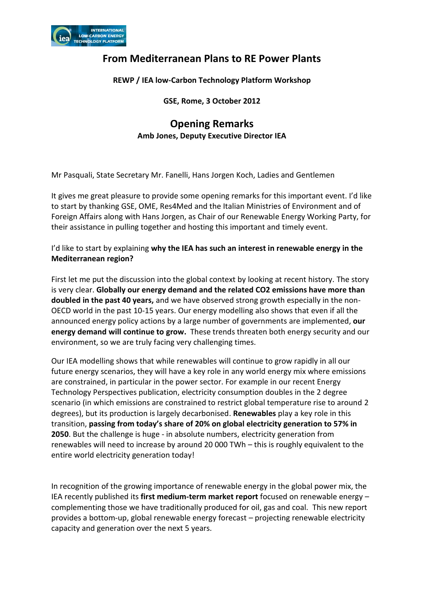

## **From Mediterranean Plans to RE Power Plants**

**REWP / IEA low-Carbon Technology Platform Workshop**

## **GSE, Rome, 3 October 2012**

## **Opening Remarks Amb Jones, Deputy Executive Director IEA**

Mr Pasquali, State Secretary Mr. Fanelli, Hans Jorgen Koch, Ladies and Gentlemen

It gives me great pleasure to provide some opening remarks for this important event. I'd like to start by thanking GSE, OME, Res4Med and the Italian Ministries of Environment and of Foreign Affairs along with Hans Jorgen, as Chair of our Renewable Energy Working Party, for their assistance in pulling together and hosting this important and timely event.

I'd like to start by explaining **why the IEA has such an interest in renewable energy in the Mediterranean region?** 

First let me put the discussion into the global context by looking at recent history. The story is very clear. **Globally our energy demand and the related CO2 emissions have more than doubled in the past 40 years,** and we have observed strong growth especially in the non-OECD world in the past 10-15 years. Our energy modelling also shows that even if all the announced energy policy actions by a large number of governments are implemented, **our energy demand will continue to grow.** These trends threaten both energy security and our environment, so we are truly facing very challenging times.

Our IEA modelling shows that while renewables will continue to grow rapidly in all our future energy scenarios, they will have a key role in any world energy mix where emissions are constrained, in particular in the power sector. For example in our recent Energy Technology Perspectives publication, electricity consumption doubles in the 2 degree scenario (in which emissions are constrained to restrict global temperature rise to around 2 degrees), but its production is largely decarbonised. **Renewables** play a key role in this transition, **passing from today's share of 20% on global electricity generation to 57% in 2050**. But the challenge is huge - in absolute numbers, electricity generation from renewables will need to increase by around 20 000 TWh – this is roughly equivalent to the entire world electricity generation today!

In recognition of the growing importance of renewable energy in the global power mix, the IEA recently published its **first medium-term market report** focused on renewable energy – complementing those we have traditionally produced for oil, gas and coal. This new report provides a bottom-up, global renewable energy forecast *–* projecting renewable electricity capacity and generation over the next 5 years.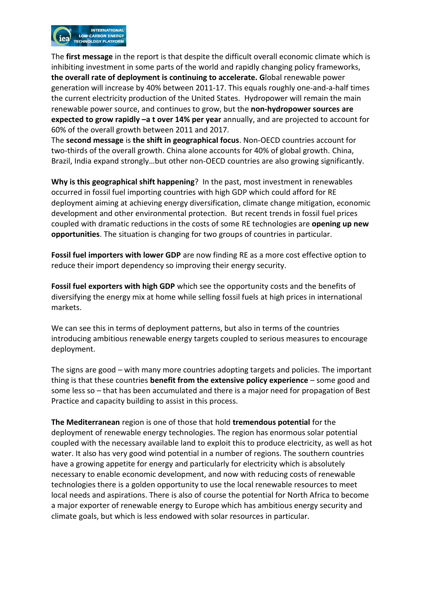

The **first message** in the report is that despite the difficult overall economic climate which is inhibiting investment in some parts of the world and rapidly changing policy frameworks, **the overall rate of deployment is continuing to accelerate. G**lobal renewable power generation will increase by 40% between 2011-17. This equals roughly one-and-a-half times the current electricity production of the United States. Hydropower will remain the main renewable power source, and continues to grow, but the **non-hydropower sources are expected to grow rapidly –a t over 14% per year** annually, and are projected to account for 60% of the overall growth between 2011 and 2017.

The **second message** is **the shift in geographical focus**. Non-OECD countries account for two-thirds of the overall growth. China alone accounts for 40% of global growth. China, Brazil, India expand strongly…but other non-OECD countries are also growing significantly.

**Why is this geographical shift happening**? In the past, most investment in renewables occurred in fossil fuel importing countries with high GDP which could afford for RE deployment aiming at achieving energy diversification, climate change mitigation, economic development and other environmental protection. But recent trends in fossil fuel prices coupled with dramatic reductions in the costs of some RE technologies are **opening up new opportunities**. The situation is changing for two groups of countries in particular.

**Fossil fuel importers with lower GDP** are now finding RE as a more cost effective option to reduce their import dependency so improving their energy security.

**Fossil fuel exporters with high GDP** which see the opportunity costs and the benefits of diversifying the energy mix at home while selling fossil fuels at high prices in international markets.

We can see this in terms of deployment patterns, but also in terms of the countries introducing ambitious renewable energy targets coupled to serious measures to encourage deployment.

The signs are good – with many more countries adopting targets and policies. The important thing is that these countries **benefit from the extensive policy experience** – some good and some less so – that has been accumulated and there is a major need for propagation of Best Practice and capacity building to assist in this process.

**The Mediterranean** region is one of those that hold **tremendous potential** for the deployment of renewable energy technologies. The region has enormous solar potential coupled with the necessary available land to exploit this to produce electricity, as well as hot water. It also has very good wind potential in a number of regions. The southern countries have a growing appetite for energy and particularly for electricity which is absolutely necessary to enable economic development, and now with reducing costs of renewable technologies there is a golden opportunity to use the local renewable resources to meet local needs and aspirations. There is also of course the potential for North Africa to become a major exporter of renewable energy to Europe which has ambitious energy security and climate goals, but which is less endowed with solar resources in particular.